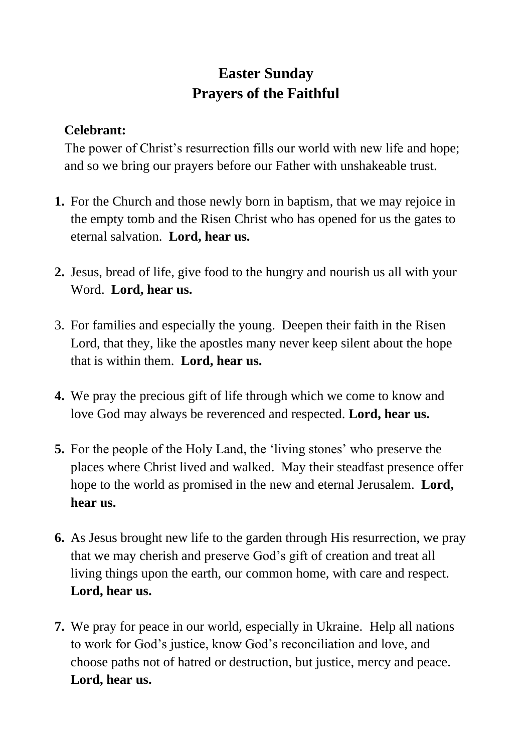## **Easter Sunday Prayers of the Faithful**

## **Celebrant:**

The power of Christ's resurrection fills our world with new life and hope; and so we bring our prayers before our Father with unshakeable trust.

- **1.** For the Church and those newly born in baptism, that we may rejoice in the empty tomb and the Risen Christ who has opened for us the gates to eternal salvation. **Lord, hear us.**
- **2.** Jesus, bread of life, give food to the hungry and nourish us all with your Word. **Lord, hear us.**
- 3. For families and especially the young. Deepen their faith in the Risen Lord, that they, like the apostles many never keep silent about the hope that is within them. **Lord, hear us.**
- **4.** We pray the precious gift of life through which we come to know and love God may always be reverenced and respected. **Lord, hear us.**
- **5.** For the people of the Holy Land, the 'living stones' who preserve the places where Christ lived and walked. May their steadfast presence offer hope to the world as promised in the new and eternal Jerusalem. **Lord, hear us.**
- **6.** As Jesus brought new life to the garden through His resurrection, we pray that we may cherish and preserve God's gift of creation and treat all living things upon the earth, our common home, with care and respect. **Lord, hear us.**
- **7.** We pray for peace in our world, especially in Ukraine. Help all nations to work for God's justice, know God's reconciliation and love, and choose paths not of hatred or destruction, but justice, mercy and peace. **Lord, hear us.**